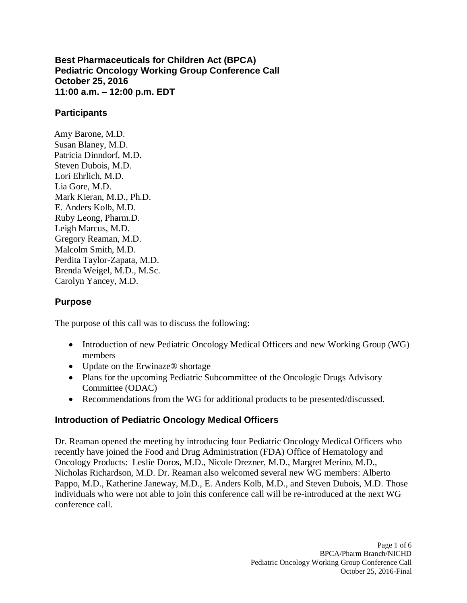**Best Pharmaceuticals for Children Act (BPCA) Pediatric Oncology Working Group Conference Call October 25, 2016 11:00 a.m. – 12:00 p.m. EDT**

#### **Participants**

Amy Barone, M.D. Susan Blaney, M.D. Patricia Dinndorf, M.D. Steven Dubois, M.D. Lori Ehrlich, M.D. Lia Gore, M.D. Mark Kieran, M.D., Ph.D. E. Anders Kolb, M.D. Ruby Leong, Pharm.D. Leigh Marcus, M.D. Gregory Reaman, M.D. Malcolm Smith, M.D. Perdita Taylor-Zapata, M.D. Brenda Weigel, M.D., M.Sc. Carolyn Yancey, M.D.

#### **Purpose**

The purpose of this call was to discuss the following:

- Introduction of new Pediatric Oncology Medical Officers and new Working Group (WG) members
- Update on the Erwinaze® shortage
- Plans for the upcoming Pediatric Subcommittee of the Oncologic Drugs Advisory Committee (ODAC)
- Recommendations from the WG for additional products to be presented/discussed.

#### **Introduction of Pediatric Oncology Medical Officers**

Dr. Reaman opened the meeting by introducing four Pediatric Oncology Medical Officers who recently have joined the Food and Drug Administration (FDA) Office of Hematology and Oncology Products: Leslie Doros, M.D., Nicole Drezner, M.D., Margret Merino, M.D., Nicholas Richardson, M.D. Dr. Reaman also welcomed several new WG members: Alberto Pappo, M.D., Katherine Janeway, M.D., E. Anders Kolb, M.D., and Steven Dubois, M.D. Those individuals who were not able to join this conference call will be re-introduced at the next WG conference call.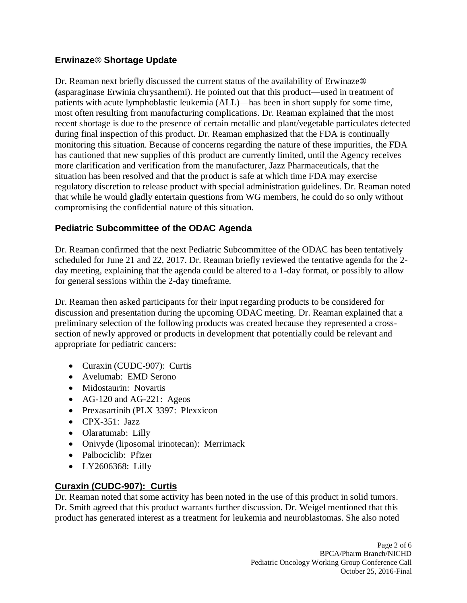# **Erwinaze**® **Shortage Update**

Dr. Reaman next briefly discussed the current status of the availability of Erwinaze® **(**asparaginase Erwinia chrysanthemi). He pointed out that this product—used in treatment of patients with acute lymphoblastic leukemia (ALL)—has been in short supply for some time, most often resulting from manufacturing complications. Dr. Reaman explained that the most recent shortage is due to the presence of certain metallic and plant/vegetable particulates detected during final inspection of this product. Dr. Reaman emphasized that the FDA is continually monitoring this situation. Because of concerns regarding the nature of these impurities, the FDA has cautioned that new supplies of this product are currently limited, until the Agency receives more clarification and verification from the manufacturer, Jazz Pharmaceuticals, that the situation has been resolved and that the product is safe at which time FDA may exercise regulatory discretion to release product with special administration guidelines. Dr. Reaman noted that while he would gladly entertain questions from WG members, he could do so only without compromising the confidential nature of this situation.

# **Pediatric Subcommittee of the ODAC Agenda**

Dr. Reaman confirmed that the next Pediatric Subcommittee of the ODAC has been tentatively scheduled for June 21 and 22, 2017. Dr. Reaman briefly reviewed the tentative agenda for the 2 day meeting, explaining that the agenda could be altered to a 1-day format, or possibly to allow for general sessions within the 2-day timeframe.

Dr. Reaman then asked participants for their input regarding products to be considered for discussion and presentation during the upcoming ODAC meeting. Dr. Reaman explained that a preliminary selection of the following products was created because they represented a crosssection of newly approved or products in development that potentially could be relevant and appropriate for pediatric cancers:

- Curaxin (CUDC-907): Curtis
- Avelumab: EMD Serono
- Midostaurin: Novartis
- AG-120 and AG-221: Ageos
- Prexasartinib (PLX 3397: Plexxicon
- CPX-351: Jazz
- Olaratumab: Lilly
- Onivyde (liposomal irinotecan): Merrimack
- Palbociclib: Pfizer
- LY2606368: Lilly

# **Curaxin (CUDC-907): Curtis**

Dr. Reaman noted that some activity has been noted in the use of this product in solid tumors. Dr. Smith agreed that this product warrants further discussion. Dr. Weigel mentioned that this product has generated interest as a treatment for leukemia and neuroblastomas. She also noted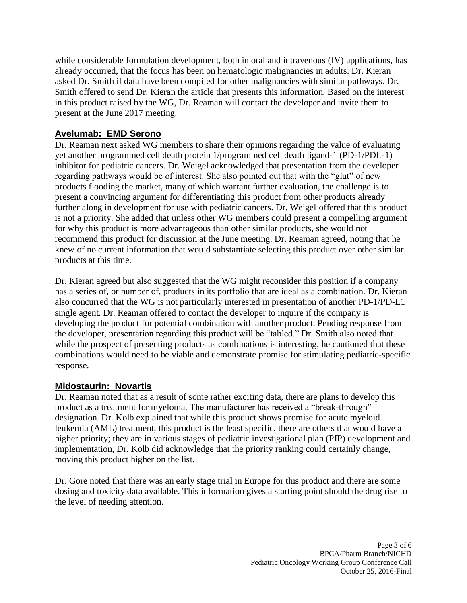while considerable formulation development, both in oral and intravenous (IV) applications, has already occurred, that the focus has been on hematologic malignancies in adults. Dr. Kieran asked Dr. Smith if data have been compiled for other malignancies with similar pathways. Dr. Smith offered to send Dr. Kieran the article that presents this information. Based on the interest in this product raised by the WG, Dr. Reaman will contact the developer and invite them to present at the June 2017 meeting.

# **Avelumab: EMD Serono**

Dr. Reaman next asked WG members to share their opinions regarding the value of evaluating yet another programmed cell death protein 1/programmed cell death ligand-1 (PD-1/PDL-1) inhibitor for pediatric cancers. Dr. Weigel acknowledged that presentation from the developer regarding pathways would be of interest. She also pointed out that with the "glut" of new products flooding the market, many of which warrant further evaluation, the challenge is to present a convincing argument for differentiating this product from other products already further along in development for use with pediatric cancers. Dr. Weigel offered that this product is not a priority. She added that unless other WG members could present a compelling argument for why this product is more advantageous than other similar products, she would not recommend this product for discussion at the June meeting. Dr. Reaman agreed, noting that he knew of no current information that would substantiate selecting this product over other similar products at this time.

Dr. Kieran agreed but also suggested that the WG might reconsider this position if a company has a series of, or number of, products in its portfolio that are ideal as a combination. Dr. Kieran also concurred that the WG is not particularly interested in presentation of another PD-1/PD-L1 single agent. Dr. Reaman offered to contact the developer to inquire if the company is developing the product for potential combination with another product. Pending response from the developer, presentation regarding this product will be "tabled." Dr. Smith also noted that while the prospect of presenting products as combinations is interesting, he cautioned that these combinations would need to be viable and demonstrate promise for stimulating pediatric-specific response.

# **Midostaurin: Novartis**

Dr. Reaman noted that as a result of some rather exciting data, there are plans to develop this product as a treatment for myeloma. The manufacturer has received a "break-through" designation. Dr. Kolb explained that while this product shows promise for acute myeloid leukemia (AML) treatment, this product is the least specific, there are others that would have a higher priority; they are in various stages of pediatric investigational plan (PIP) development and implementation, Dr. Kolb did acknowledge that the priority ranking could certainly change, moving this product higher on the list.

Dr. Gore noted that there was an early stage trial in Europe for this product and there are some dosing and toxicity data available. This information gives a starting point should the drug rise to the level of needing attention.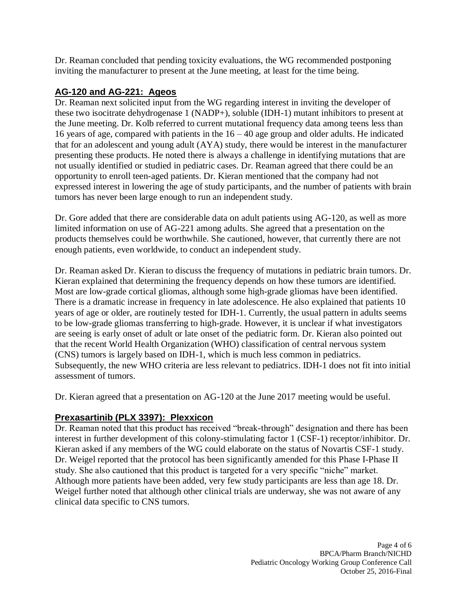Dr. Reaman concluded that pending toxicity evaluations, the WG recommended postponing inviting the manufacturer to present at the June meeting, at least for the time being.

#### **AG-120 and AG-221: Ageos**

Dr. Reaman next solicited input from the WG regarding interest in inviting the developer of these two isocitrate dehydrogenase 1 (NADP+), soluble (IDH-1) mutant inhibitors to present at the June meeting. Dr. Kolb referred to current mutational frequency data among teens less than 16 years of age, compared with patients in the 16 – 40 age group and older adults. He indicated that for an adolescent and young adult (AYA) study, there would be interest in the manufacturer presenting these products. He noted there is always a challenge in identifying mutations that are not usually identified or studied in pediatric cases. Dr. Reaman agreed that there could be an opportunity to enroll teen-aged patients. Dr. Kieran mentioned that the company had not expressed interest in lowering the age of study participants, and the number of patients with brain tumors has never been large enough to run an independent study.

Dr. Gore added that there are considerable data on adult patients using AG-120, as well as more limited information on use of AG-221 among adults. She agreed that a presentation on the products themselves could be worthwhile. She cautioned, however, that currently there are not enough patients, even worldwide, to conduct an independent study.

Dr. Reaman asked Dr. Kieran to discuss the frequency of mutations in pediatric brain tumors. Dr. Kieran explained that determining the frequency depends on how these tumors are identified. Most are low-grade cortical gliomas, although some high-grade gliomas have been identified. There is a dramatic increase in frequency in late adolescence. He also explained that patients 10 years of age or older, are routinely tested for IDH-1. Currently, the usual pattern in adults seems to be low-grade gliomas transferring to high-grade. However, it is unclear if what investigators are seeing is early onset of adult or late onset of the pediatric form. Dr. Kieran also pointed out that the recent World Health Organization (WHO) classification of central nervous system (CNS) tumors is largely based on IDH-1, which is much less common in pediatrics. Subsequently, the new WHO criteria are less relevant to pediatrics. IDH-1 does not fit into initial assessment of tumors.

Dr. Kieran agreed that a presentation on AG-120 at the June 2017 meeting would be useful.

# **Prexasartinib (PLX 3397): Plexxicon**

Dr. Reaman noted that this product has received "break-through" designation and there has been interest in further development of this colony-stimulating factor 1 (CSF-1) receptor/inhibitor. Dr. Kieran asked if any members of the WG could elaborate on the status of Novartis CSF-1 study. Dr. Weigel reported that the protocol has been significantly amended for this Phase I-Phase II study. She also cautioned that this product is targeted for a very specific "niche" market. Although more patients have been added, very few study participants are less than age 18. Dr. Weigel further noted that although other clinical trials are underway, she was not aware of any clinical data specific to CNS tumors.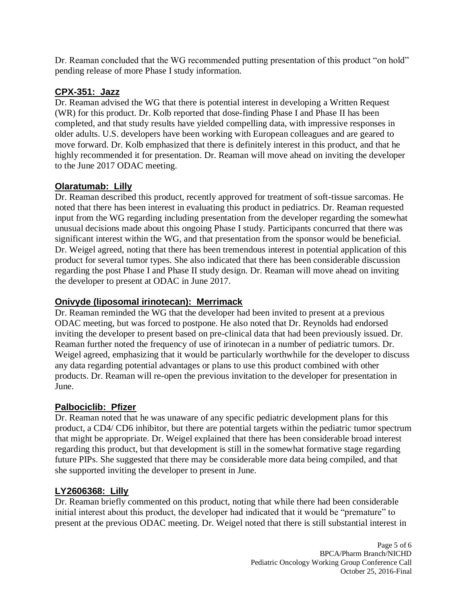Dr. Reaman concluded that the WG recommended putting presentation of this product "on hold" pending release of more Phase I study information.

#### **CPX-351: Jazz**

Dr. Reaman advised the WG that there is potential interest in developing a Written Request (WR) for this product. Dr. Kolb reported that dose-finding Phase I and Phase II has been completed, and that study results have yielded compelling data, with impressive responses in older adults. U.S. developers have been working with European colleagues and are geared to move forward. Dr. Kolb emphasized that there is definitely interest in this product, and that he highly recommended it for presentation. Dr. Reaman will move ahead on inviting the developer to the June 2017 ODAC meeting.

# **Olaratumab: Lilly**

Dr. Reaman described this product, recently approved for treatment of soft-tissue sarcomas. He noted that there has been interest in evaluating this product in pediatrics. Dr. Reaman requested input from the WG regarding including presentation from the developer regarding the somewhat unusual decisions made about this ongoing Phase I study. Participants concurred that there was significant interest within the WG, and that presentation from the sponsor would be beneficial. Dr. Weigel agreed, noting that there has been tremendous interest in potential application of this product for several tumor types. She also indicated that there has been considerable discussion regarding the post Phase I and Phase II study design. Dr. Reaman will move ahead on inviting the developer to present at ODAC in June 2017.

# **Onivyde (liposomal irinotecan): Merrimack**

Dr. Reaman reminded the WG that the developer had been invited to present at a previous ODAC meeting, but was forced to postpone. He also noted that Dr. Reynolds had endorsed inviting the developer to present based on pre-clinical data that had been previously issued. Dr. Reaman further noted the frequency of use of irinotecan in a number of pediatric tumors. Dr. Weigel agreed, emphasizing that it would be particularly worthwhile for the developer to discuss any data regarding potential advantages or plans to use this product combined with other products. Dr. Reaman will re-open the previous invitation to the developer for presentation in June.

# **Palbociclib: Pfizer**

Dr. Reaman noted that he was unaware of any specific pediatric development plans for this product, a CD4/ CD6 inhibitor, but there are potential targets within the pediatric tumor spectrum that might be appropriate. Dr. Weigel explained that there has been considerable broad interest regarding this product, but that development is still in the somewhat formative stage regarding future PIPs. She suggested that there may be considerable more data being compiled, and that she supported inviting the developer to present in June.

# **LY2606368: Lilly**

Dr. Reaman briefly commented on this product, noting that while there had been considerable initial interest about this product, the developer had indicated that it would be "premature" to present at the previous ODAC meeting. Dr. Weigel noted that there is still substantial interest in